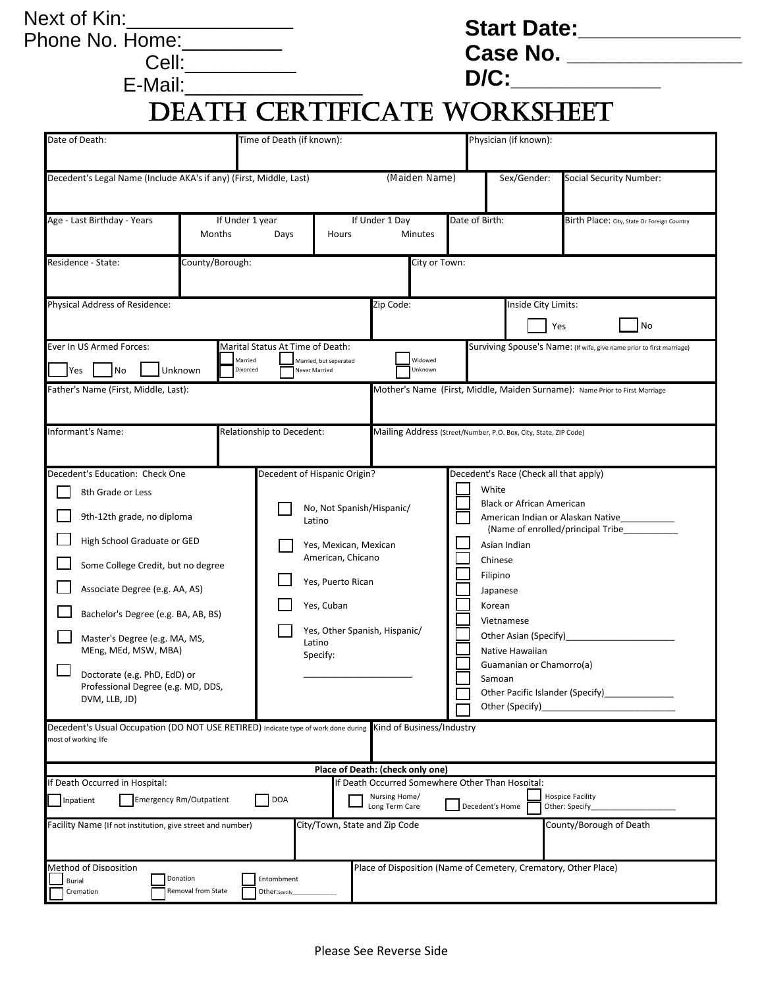| <b>Start Date:</b> |  |
|--------------------|--|
| Case No.           |  |
| $D/C$ :            |  |

|                                                                                                                                                                                                                                                                                           | Phone No. Home: _________<br>Cell:____________<br>DEATH CERTIFICATE WORKSHEET                                                                         |                                                                                                                                                                                                             |                    |                                                                                                                                                                                                                         | Start Date:____________<br>Case No.<br>D/C:____________                                                                                                                                                                                                         |
|-------------------------------------------------------------------------------------------------------------------------------------------------------------------------------------------------------------------------------------------------------------------------------------------|-------------------------------------------------------------------------------------------------------------------------------------------------------|-------------------------------------------------------------------------------------------------------------------------------------------------------------------------------------------------------------|--------------------|-------------------------------------------------------------------------------------------------------------------------------------------------------------------------------------------------------------------------|-----------------------------------------------------------------------------------------------------------------------------------------------------------------------------------------------------------------------------------------------------------------|
| Date of Death:                                                                                                                                                                                                                                                                            | Time of Death (if known):                                                                                                                             |                                                                                                                                                                                                             |                    | Physician (if known):                                                                                                                                                                                                   |                                                                                                                                                                                                                                                                 |
|                                                                                                                                                                                                                                                                                           | Decedent's Legal Name (Include AKA's if any) (First, Middle, Last)                                                                                    |                                                                                                                                                                                                             | (Maiden Name)      | Sex/Gender:                                                                                                                                                                                                             | <b>Social Security Number:</b>                                                                                                                                                                                                                                  |
| Age - Last Birthday - Years                                                                                                                                                                                                                                                               | If Under 1 year<br>Months<br>Days                                                                                                                     | If Under 1 Day<br>Hours                                                                                                                                                                                     | Minutes            | Date of Birth:                                                                                                                                                                                                          | Birth Place: City, State Or Foreign Country                                                                                                                                                                                                                     |
| Residence - State:                                                                                                                                                                                                                                                                        | County/Borough:                                                                                                                                       |                                                                                                                                                                                                             | City or Town:      |                                                                                                                                                                                                                         |                                                                                                                                                                                                                                                                 |
| Physical Address of Residence:                                                                                                                                                                                                                                                            |                                                                                                                                                       | Zip Code:                                                                                                                                                                                                   |                    | Inside City Limits:<br>Yes                                                                                                                                                                                              | No                                                                                                                                                                                                                                                              |
| Ever In US Armed Forces:<br>Yes<br>No.                                                                                                                                                                                                                                                    | Marital Status At Time of Death:<br>Married<br>Unknown<br>Divorced                                                                                    | Married, but seperated<br>Never Married                                                                                                                                                                     | Widowed<br>Unknown |                                                                                                                                                                                                                         | Surviving Spouse's Name: (If wife, give name prior to first marriage)                                                                                                                                                                                           |
| Father's Name (First, Middle, Last):                                                                                                                                                                                                                                                      |                                                                                                                                                       |                                                                                                                                                                                                             |                    |                                                                                                                                                                                                                         | Mother's Name (First, Middle, Maiden Surname): Name Prior to First Marriage                                                                                                                                                                                     |
| Informant's Name:                                                                                                                                                                                                                                                                         | Relationship to Decedent:                                                                                                                             |                                                                                                                                                                                                             |                    | Mailing Address (Street/Number, P.O. Box, City, State, ZIP Code)                                                                                                                                                        |                                                                                                                                                                                                                                                                 |
| Decedent's Education: Check One<br>8th Grade or Less<br>9th-12th grade, no diploma<br>High School Graduate or GED<br>Some College Credit, but no degree<br>Associate Degree (e.g. AA, AS)<br>Bachelor's Degree (e.g. BA, AB, BS)<br>Master's Degree (e.g. MA, MS,<br>MEng, MEd, MSW, MBA) |                                                                                                                                                       | Decedent of Hispanic Origin?<br>No, Not Spanish/Hispanic/<br>Latino<br>Yes, Mexican, Mexican<br>American, Chicano<br>Yes, Puerto Rican<br>Yes, Cuban<br>Yes, Other Spanish, Hispanic/<br>Latino<br>Specify: |                    | Decedent's Race (Check all that apply)<br>White<br><b>Black or African American</b><br>Asian Indian<br>Chinese<br>Filipino<br>Japanese<br>Korean<br>Vietnamese<br>Native Hawaiian<br>Guamanian or Chamorro(a)<br>Samoan | American Indian or Alaskan Native___________<br>(Name of enrolled/principal Tribe<br>Other Asian (Specify)<br>Superior Section 2014<br>2014<br>2022<br>2023<br>2023<br>2023<br>2023<br>2023<br>2023<br>2023<br>2023<br>2023<br>Other Pacific Islander (Specify) |
| Doctorate (e.g. PhD, EdD) or<br>Professional Degree (e.g. MD, DDS,<br>DVM, LLB, JD)                                                                                                                                                                                                       |                                                                                                                                                       |                                                                                                                                                                                                             |                    | Other (Specify)                                                                                                                                                                                                         |                                                                                                                                                                                                                                                                 |
| most of working life<br>If Death Occurred in Hospital:<br>Inpatient                                                                                                                                                                                                                       | Decedent's Usual Occupation (DO NOT USE RETIRED) Indicate type of work done during Kind of Business/Industry<br>Emergency Rm/Outpatient<br><b>DOA</b> | Place of Death: (check only one)<br>If Death Occurred Somewhere Other Than Hospital:<br>Nursing Home/                                                                                                       |                    |                                                                                                                                                                                                                         | <b>Hospice Facility</b>                                                                                                                                                                                                                                         |